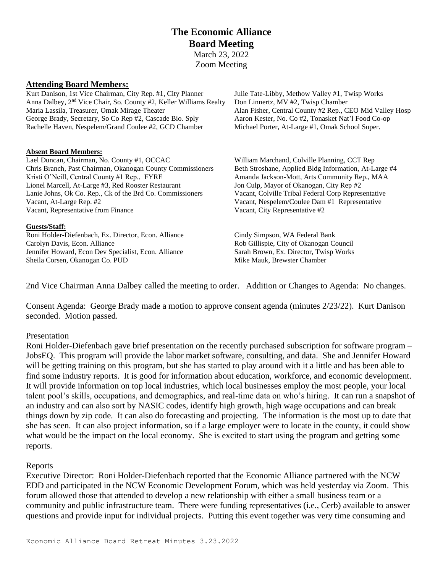## **The Economic Alliance Board Meeting** March 23, 2022 Zoom Meeting

### **Attending Board Members:**

Kurt Danison, 1st Vice Chairman, City Rep. #1, City Planner Julie Tate-Libby, Methow Valley #1, Twisp Works Anna Dalbey, 2<sup>nd</sup> Vice Chair, So. County #2, Keller Williams Realty Don Linnertz, MV #2, Twisp Chamber Maria Lassila, Treasurer, Omak Mirage Theater Alan Fisher, Central County #2 Rep., CEO Mid Valley Hosp George Brady, Secretary, So Co Rep #2, Cascade Bio. Sply Aaron Kester, No. Co #2, Tonasket Nat'l Food Co-op Rachelle Haven, Nespelem/Grand Coulee #2, GCD Chamber Michael Porter, At-Large #1, Omak School Super.

#### **Absent Board Members:**

Lael Duncan, Chairman, No. County #1, OCCAC William Marchand, Colville Planning, CCT Rep Chris Branch, Past Chairman, Okanogan County Commissioners Beth Stroshane, Applied Bldg Information, At-Large #4 Kristi O'Neill, Central County #1 Rep., FYRE Amanda Jackson-Mott, Arts Community Rep., MAA Lionel Marcell, At-Large #3, Red Rooster Restaurant Jon Culp, Mayor of Okanogan, City Rep #2 Lanie Johns, Ok Co. Rep., Ck of the Brd Co. Commissioners Vacant, Colville Tribal Federal Corp Representative Vacant, At-Large Rep. #2 Vacant, Nespelem/Coulee Dam #1 Representative Vacant, Representative from Finance Vacant, City Representative #2

#### **Guests/Staff:**

Roni Holder-Diefenbach, Ex. Director, Econ. Alliance Cindy Simpson, WA Federal Bank Carolyn Davis, Econ. Alliance Rob Gillispie, City of Okanogan Council Jennifer Howard, Econ Dev Specialist, Econ. Alliance Sarah Brown, Ex. Director, Twisp Works Sheila Corsen, Okanogan Co. PUD Mike Mauk, Brewster Chamber

2nd Vice Chairman Anna Dalbey called the meeting to order. Addition or Changes to Agenda: No changes.

Consent Agenda: George Brady made a motion to approve consent agenda (minutes 2/23/22). Kurt Danison seconded. Motion passed.

### Presentation

Roni Holder-Diefenbach gave brief presentation on the recently purchased subscription for software program – JobsEQ. This program will provide the labor market software, consulting, and data. She and Jennifer Howard will be getting training on this program, but she has started to play around with it a little and has been able to find some industry reports. It is good for information about education, workforce, and economic development. It will provide information on top local industries, which local businesses employ the most people, your local talent pool's skills, occupations, and demographics, and real-time data on who's hiring. It can run a snapshot of an industry and can also sort by NASIC codes, identify high growth, high wage occupations and can break things down by zip code. It can also do forecasting and projecting. The information is the most up to date that she has seen. It can also project information, so if a large employer were to locate in the county, it could show what would be the impact on the local economy. She is excited to start using the program and getting some reports.

### Reports

Executive Director: Roni Holder-Diefenbach reported that the Economic Alliance partnered with the NCW EDD and participated in the NCW Economic Development Forum, which was held yesterday via Zoom. This forum allowed those that attended to develop a new relationship with either a small business team or a community and public infrastructure team. There were funding representatives (i.e., Cerb) available to answer questions and provide input for individual projects. Putting this event together was very time consuming and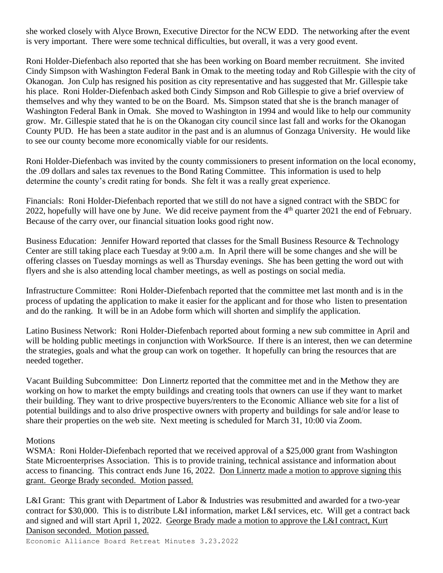she worked closely with Alyce Brown, Executive Director for the NCW EDD. The networking after the event is very important. There were some technical difficulties, but overall, it was a very good event.

Roni Holder-Diefenbach also reported that she has been working on Board member recruitment. She invited Cindy Simpson with Washington Federal Bank in Omak to the meeting today and Rob Gillespie with the city of Okanogan. Jon Culp has resigned his position as city representative and has suggested that Mr. Gillespie take his place. Roni Holder-Diefenbach asked both Cindy Simpson and Rob Gillespie to give a brief overview of themselves and why they wanted to be on the Board. Ms. Simpson stated that she is the branch manager of Washington Federal Bank in Omak. She moved to Washington in 1994 and would like to help our community grow. Mr. Gillespie stated that he is on the Okanogan city council since last fall and works for the Okanogan County PUD. He has been a state auditor in the past and is an alumnus of Gonzaga University. He would like to see our county become more economically viable for our residents.

Roni Holder-Diefenbach was invited by the county commissioners to present information on the local economy, the .09 dollars and sales tax revenues to the Bond Rating Committee. This information is used to help determine the county's credit rating for bonds. She felt it was a really great experience.

Financials: Roni Holder-Diefenbach reported that we still do not have a signed contract with the SBDC for 2022, hopefully will have one by June. We did receive payment from the 4<sup>th</sup> quarter 2021 the end of February. Because of the carry over, our financial situation looks good right now.

Business Education: Jennifer Howard reported that classes for the Small Business Resource & Technology Center are still taking place each Tuesday at 9:00 a.m. In April there will be some changes and she will be offering classes on Tuesday mornings as well as Thursday evenings. She has been getting the word out with flyers and she is also attending local chamber meetings, as well as postings on social media.

Infrastructure Committee: Roni Holder-Diefenbach reported that the committee met last month and is in the process of updating the application to make it easier for the applicant and for those who listen to presentation and do the ranking. It will be in an Adobe form which will shorten and simplify the application.

Latino Business Network: Roni Holder-Diefenbach reported about forming a new sub committee in April and will be holding public meetings in conjunction with WorkSource. If there is an interest, then we can determine the strategies, goals and what the group can work on together. It hopefully can bring the resources that are needed together.

Vacant Building Subcommittee: Don Linnertz reported that the committee met and in the Methow they are working on how to market the empty buildings and creating tools that owners can use if they want to market their building. They want to drive prospective buyers/renters to the Economic Alliance web site for a list of potential buildings and to also drive prospective owners with property and buildings for sale and/or lease to share their properties on the web site. Next meeting is scheduled for March 31, 10:00 via Zoom.

### **Motions**

WSMA: Roni Holder-Diefenbach reported that we received approval of a \$25,000 grant from Washington State Microenterprises Association. This is to provide training, technical assistance and information about access to financing. This contract ends June 16, 2022. Don Linnertz made a motion to approve signing this grant. George Brady seconded. Motion passed.

L&I Grant: This grant with Department of Labor & Industries was resubmitted and awarded for a two-year contract for \$30,000. This is to distribute L&I information, market L&I services, etc. Will get a contract back and signed and will start April 1, 2022. George Brady made a motion to approve the L&I contract, Kurt Danison seconded. Motion passed.

Economic Alliance Board Retreat Minutes 3.23.2022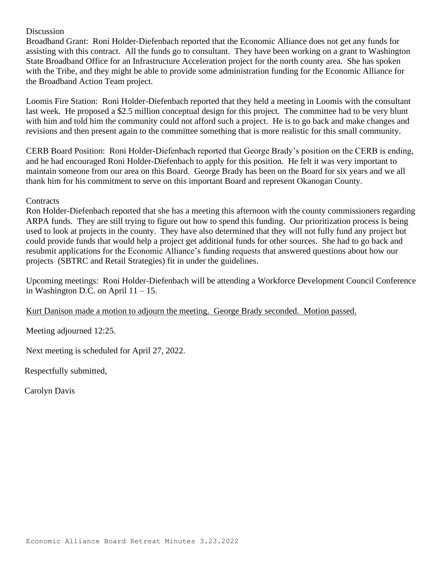### Discussion

Broadband Grant: Roni Holder-Diefenbach reported that the Economic Alliance does not get any funds for assisting with this contract. All the funds go to consultant. They have been working on a grant to Washington State Broadband Office for an Infrastructure Acceleration project for the north county area. She has spoken with the Tribe, and they might be able to provide some administration funding for the Economic Alliance for the Broadband Action Team project.

Loomis Fire Station: Roni Holder-Diefenbach reported that they held a meeting in Loomis with the consultant last week. He proposed a \$2.5 million conceptual design for this project. The committee had to be very blunt with him and told him the community could not afford such a project. He is to go back and make changes and revisions and then present again to the committee something that is more realistic for this small community.

CERB Board Position: Roni Holder-Diefenbach reported that George Brady's position on the CERB is ending, and he had encouraged Roni Holder-Diefenbach to apply for this position. He felt it was very important to maintain someone from our area on this Board. George Brady has been on the Board for six years and we all thank him for his commitment to serve on this important Board and represent Okanogan County.

### **Contracts**

Ron Holder-Diefenbach reported that she has a meeting this afternoon with the county commissioners regarding ARPA funds. They are still trying to figure out how to spend this funding. Our prioritization process is being used to look at projects in the county. They have also determined that they will not fully fund any project but could provide funds that would help a project get additional funds for other sources. She had to go back and resubmit applications for the Economic Alliance's funding requests that answered questions about how our projects (SBTRC and Retail Strategies) fit in under the guidelines.

Upcoming meetings: Roni Holder-Diefenbach will be attending a Workforce Development Council Conference in Washington D.C. on April  $11 - 15$ .

Kurt Danison made a motion to adjourn the meeting. George Brady seconded. Motion passed.

Meeting adjourned 12:25.

Next meeting is scheduled for April 27, 2022.

Respectfully submitted,

Carolyn Davis